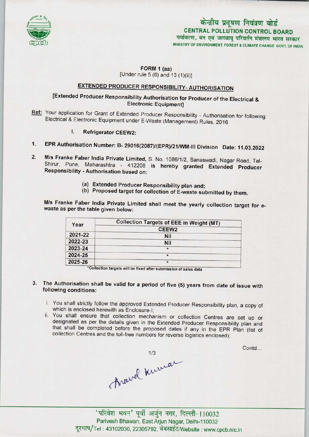

## FORM 1 (aa) [Under rule  $5(6)$  and  $13(1)(ii)$ ]

# EXTENDED PRODUCER RESPONSIBILITY-AUTHORISATION

## [Extended Producer Responsibility Authorisation for Producer of the Electrical & Electronic Equipment]

- Ref: Your application for Grant of Extended Producer Responsibility Authorisation for following Electrical & Electronic Equipment under E-Waste (Management) Rules, 2016
	- I. Refrigerator CEEW2:
- 1.EPR Authorisation Number: B- 29016{2087)/(EPR)/21/WM-lll Division Date: 11.03.2022
- 2.M/s Franke Faber India Private Limited, S. No. 1086/1/2, Sanaswadi, Nagar Road, Tal-Shirur, Pune, Maharashtra - 412208 is hereby granted Extended Producer Responsibility - Authorisation based on:
	- (a)Extended Producer Responsibility plan and;
	- (b) Proposed target for collection of E-waste submitted by them.

M/s Franke Faber India Private Limited shall meet the yearly collection target for ewaste as per the table given below:

| Year    | Collection Targets of EEE in Weight (MT) |
|---------|------------------------------------------|
|         | CEEW <sub>2</sub>                        |
| 2021-22 | <b>Nil</b>                               |
| 2022-23 | <b>Nil</b>                               |
| 2023-24 | $\star$                                  |
| 2024-25 |                                          |
| 2025-26 | *                                        |

\*Collection targets will be fixed after submission of sales data

## 3. The Authorisation shall be valid for a period of five (5) years from date of issue with following conditions:

- i. You shall strictly follow the approved Extended Producer Responsibility plan, a copy of which is enclosed herewith as Enclosure-I;
- ii. You shall ensure that collection mechanism or collection Centres are set up or designated as per the details given in the Extended Producer Responsibility plan and that shall be completed before the proposed dates if any in the EPR Plan (list of

collection Centres and the toll-free numbers for reverse logistics enclosed);<br>1/3<br>Anewell Kurra

Contd...

'परिवेश भवन' पूर्वी अर्जुन नगर, दिल्ली-110032 Parivesh Bhawan, East Arjun Nagar, Delhi-110032 दूरभाष/Tel: 43102030, 22305792, वेबसाईट/Website : www.cpcb.nic.in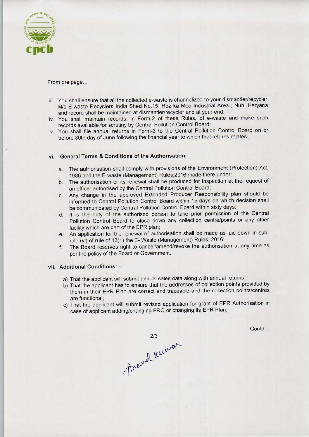

### From pre page...

- iii. You shall ensure that all the collected e-waste is channelized to your dismantler/recycler M/s E-waste Recyclers India Shed No.15, Roz ka Meo Industrial Area , Nuh, Haryana and record shall be maintained at dismantler/recycler and at your end.
- iv. You shall maintain records, in Form-2 of these Rules, of e-waste and make such records available for scrutiny by Central Pollution Control Board;
- v. You shall file annual returns in Form-3 to the Central Pollution Control Board on or before 30th day of June following the financial year to which that returns relates.

## vi. General Terms & Conditions of the Authorisation:

- a.The authorisation shall comply with provisions of the Environment (Protection) Act, 1986 and the E-waste (Management) Rules,2016 made there under;
- b.The authorisation or its renewal shall be produced for inspection at the request of an officer authorised by the Central Pollution Control Board;
- c.Any change in the approved Extended Producer Responsibility plan should be informed to Central Pollution Control Board within 15 days on which decision shall be communicated by Central Pollution Control Board within sixty days;
- d. It is the duty of the authorised person to take prior permission of the Central Pollution Control Board to close down any collection centre/points or any other facility which are part of the EPR plan;
- e. An application for the renewal of authorisation shall be made as laid down in subrule (vi) of rule of 13(1) the E- Waste (Management) Rules, 2016;
- f.The Board reserves right to cancel/amend/revoke the authorisation at any time as per the policy of the Board or Government.

#### vii. Additional Conditions: -

- a) That the applicant will submit annual sales data along with annual returns;
- b)That the applicant has to ensure that the addresses of collection points provided by them in their EPR Plan are correct and traceable and the collection points/centres are functional;
- c) That the applicant will submit revised application for grant of EPR Authorisation in case of applicant adding/changing PRO or changing its EPR Plan;

Contd...